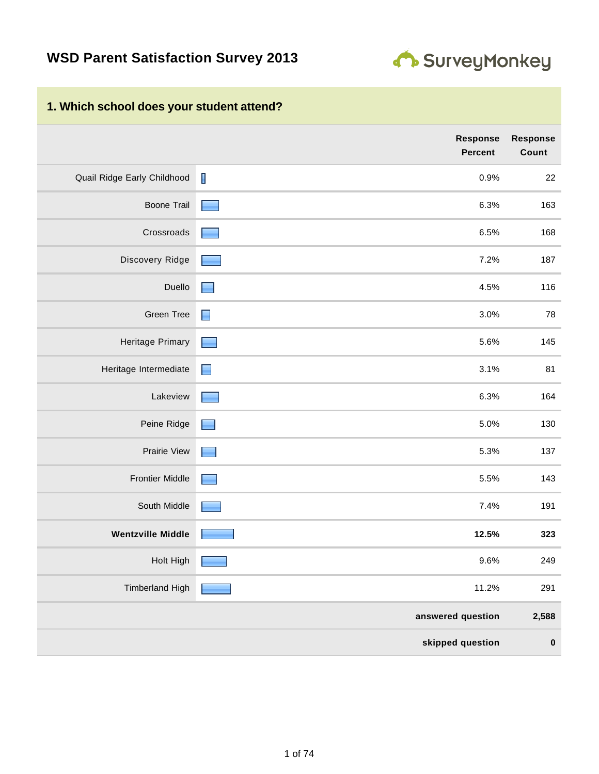

### **1. Which school does your student attend?**

|                             | <b>Response</b><br><b>Percent</b> | <b>Response</b><br>Count |
|-----------------------------|-----------------------------------|--------------------------|
| Quail Ridge Early Childhood | $\mathbf I$<br>0.9%               | 22                       |
| <b>Boone Trail</b>          | 6.3%<br><b>Contract</b>           | 163                      |
| Crossroads                  | 6.5%                              | 168                      |
| Discovery Ridge             | 7.2%                              | 187                      |
| Duello                      | 4.5%<br>E                         | 116                      |
| Green Tree                  | 3.0%<br>$\blacksquare$            | 78                       |
| Heritage Primary            | 5.6%<br>٠                         | 145                      |
| Heritage Intermediate       | 3.1%<br>$\Box$                    | 81                       |
| Lakeview                    | 6.3%                              | 164                      |
| Peine Ridge                 | 5.0%<br>- 1                       | 130                      |
| Prairie View                | 5.3%<br><b>Contract</b>           | 137                      |
| <b>Frontier Middle</b>      | 5.5%                              | 143                      |
| South Middle                | 7.4%                              | 191                      |
| <b>Wentzville Middle</b>    | 12.5%                             | 323                      |
| Holt High                   | 9.6%                              | 249                      |
| <b>Timberland High</b>      | 11.2%                             | 291                      |
|                             | answered question                 | 2,588                    |
|                             | skipped question                  | $\pmb{0}$                |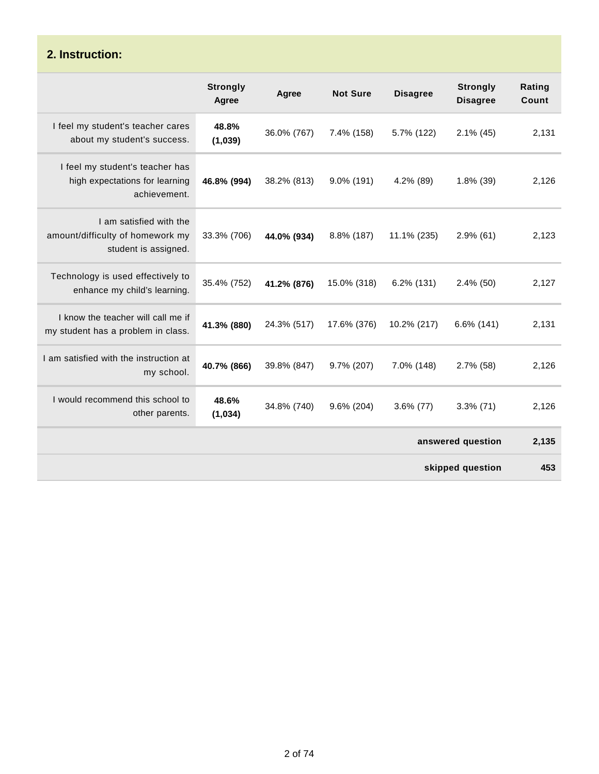### **2. Instruction:**

|                                                                                     | <b>Strongly</b><br>Agree | Agree       | <b>Not Sure</b> | <b>Disagree</b> | <b>Strongly</b><br><b>Disagree</b> | Rating<br>Count |
|-------------------------------------------------------------------------------------|--------------------------|-------------|-----------------|-----------------|------------------------------------|-----------------|
| I feel my student's teacher cares<br>about my student's success.                    | 48.8%<br>(1,039)         | 36.0% (767) | 7.4% (158)      | 5.7% (122)      | $2.1\%$ (45)                       | 2,131           |
| I feel my student's teacher has<br>high expectations for learning<br>achievement.   | 46.8% (994)              | 38.2% (813) | $9.0\%$ (191)   | 4.2% (89)       | 1.8% (39)                          | 2,126           |
| I am satisfied with the<br>amount/difficulty of homework my<br>student is assigned. | 33.3% (706)              | 44.0% (934) | 8.8% (187)      | 11.1% (235)     | $2.9\%$ (61)                       | 2,123           |
| Technology is used effectively to<br>enhance my child's learning.                   | 35.4% (752)              | 41.2% (876) | 15.0% (318)     | $6.2\%$ (131)   | $2.4\%$ (50)                       | 2,127           |
| I know the teacher will call me if<br>my student has a problem in class.            | 41.3% (880)              | 24.3% (517) | 17.6% (376)     | 10.2% (217)     | 6.6% (141)                         | 2,131           |
| I am satisfied with the instruction at<br>my school.                                | 40.7% (866)              | 39.8% (847) | 9.7% (207)      | 7.0% (148)      | 2.7% (58)                          | 2,126           |
| I would recommend this school to<br>other parents.                                  | 48.6%<br>(1,034)         | 34.8% (740) | 9.6% (204)      | $3.6\%$ (77)    | $3.3\%$ (71)                       | 2,126           |
|                                                                                     |                          |             |                 |                 | answered question                  | 2,135           |
|                                                                                     |                          |             |                 |                 | skipped question                   | 453             |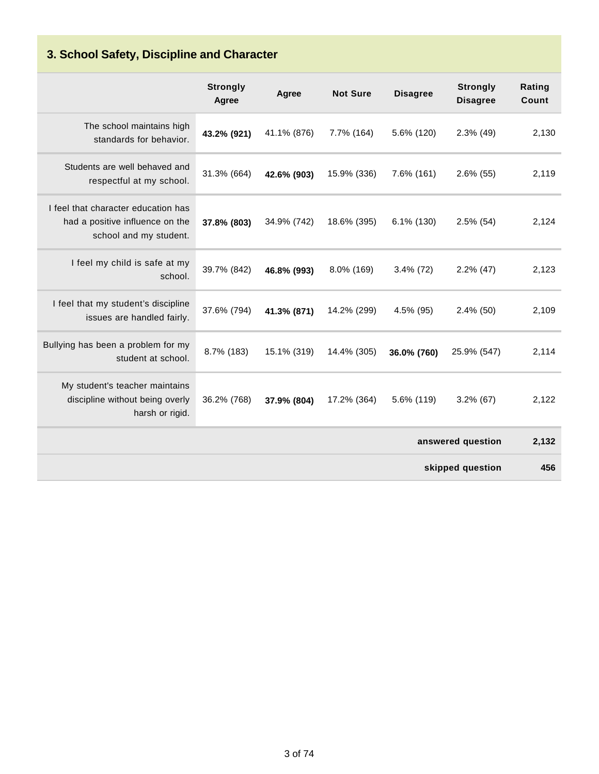# **3. School Safety, Discipline and Character**

|                                                                                                  | <b>Strongly</b><br>Agree | Agree       | <b>Not Sure</b> | <b>Disagree</b> | <b>Strongly</b><br><b>Disagree</b> | Rating<br>Count |
|--------------------------------------------------------------------------------------------------|--------------------------|-------------|-----------------|-----------------|------------------------------------|-----------------|
| The school maintains high<br>standards for behavior.                                             | 43.2% (921)              | 41.1% (876) | 7.7% (164)      | 5.6% (120)      | $2.3\%$ (49)                       | 2,130           |
| Students are well behaved and<br>respectful at my school.                                        | 31.3% (664)              | 42.6% (903) | 15.9% (336)     | 7.6% (161)      | $2.6\%$ (55)                       | 2,119           |
| I feel that character education has<br>had a positive influence on the<br>school and my student. | 37.8% (803)              | 34.9% (742) | 18.6% (395)     | $6.1\%$ (130)   | $2.5\%$ (54)                       | 2,124           |
| I feel my child is safe at my<br>school.                                                         | 39.7% (842)              | 46.8% (993) | 8.0% (169)      | $3.4\%$ (72)    | $2.2\%$ (47)                       | 2,123           |
| I feel that my student's discipline<br>issues are handled fairly.                                | 37.6% (794)              | 41.3% (871) | 14.2% (299)     | 4.5% (95)       | $2.4\%$ (50)                       | 2,109           |
| Bullying has been a problem for my<br>student at school.                                         | 8.7% (183)               | 15.1% (319) | 14.4% (305)     | 36.0% (760)     | 25.9% (547)                        | 2,114           |
| My student's teacher maintains<br>discipline without being overly<br>harsh or rigid.             | 36.2% (768)              | 37.9% (804) | 17.2% (364)     | 5.6% (119)      | $3.2\%$ (67)                       | 2,122           |
|                                                                                                  |                          |             |                 |                 | answered question                  | 2,132           |
|                                                                                                  |                          |             |                 |                 | skipped question                   | 456             |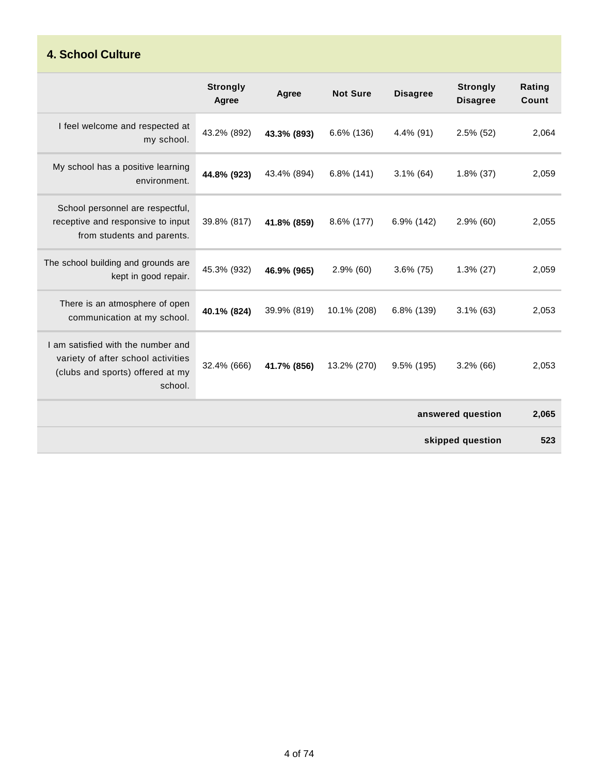### **4. School Culture**

|                                                                                                                         | <b>Strongly</b><br>Agree | Agree       | <b>Not Sure</b> | <b>Disagree</b> | <b>Strongly</b><br><b>Disagree</b> | Rating<br>Count |
|-------------------------------------------------------------------------------------------------------------------------|--------------------------|-------------|-----------------|-----------------|------------------------------------|-----------------|
| I feel welcome and respected at<br>my school.                                                                           | 43.2% (892)              | 43.3% (893) | 6.6% (136)      | $4.4\%$ (91)    | $2.5\%$ (52)                       | 2,064           |
| My school has a positive learning<br>environment.                                                                       | 44.8% (923)              | 43.4% (894) | 6.8% (141)      | $3.1\%$ (64)    | $1.8\%$ (37)                       | 2,059           |
| School personnel are respectful,<br>receptive and responsive to input<br>from students and parents.                     | 39.8% (817)              | 41.8% (859) | 8.6% (177)      | 6.9% (142)      | $2.9\%$ (60)                       | 2,055           |
| The school building and grounds are<br>kept in good repair.                                                             | 45.3% (932)              | 46.9% (965) | $2.9\%$ (60)    | $3.6\%$ (75)    | $1.3\%$ (27)                       | 2,059           |
| There is an atmosphere of open<br>communication at my school.                                                           | 40.1% (824)              | 39.9% (819) | 10.1% (208)     | 6.8% (139)      | $3.1\%$ (63)                       | 2,053           |
| I am satisfied with the number and<br>variety of after school activities<br>(clubs and sports) offered at my<br>school. | 32.4% (666)              | 41.7% (856) | 13.2% (270)     | 9.5% (195)      | $3.2\%$ (66)                       | 2,053           |
|                                                                                                                         |                          |             |                 |                 | answered question                  | 2,065           |
|                                                                                                                         |                          |             |                 |                 | skipped question                   | 523             |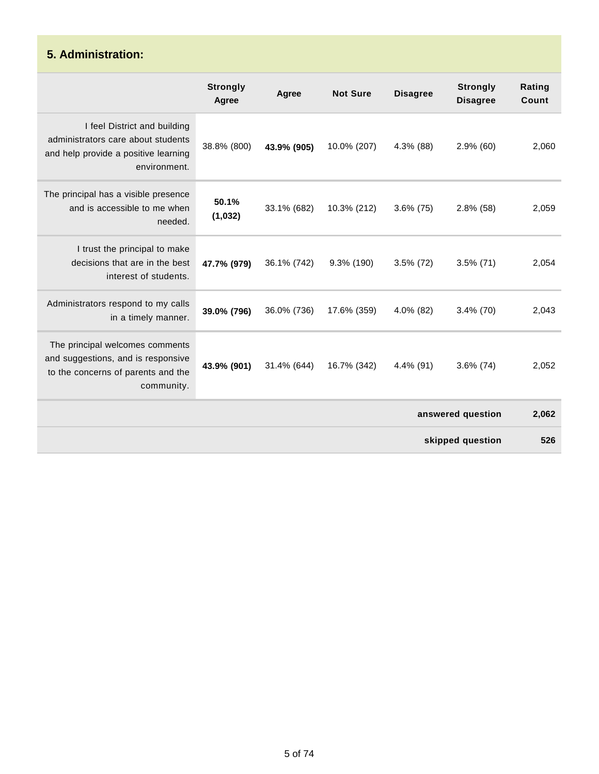#### **5. Administration: Strongly Agree Agree Not Sure Disagree Strongly Disagree Rating Count** I feel District and building administrators care about students and help provide a positive learning environment. 38.8% (800) **43.9% (905)** 10.0% (207) 4.3% (88) 2.9% (60) 2,060 The principal has a visible presence and is accessible to me when needed. **50.1% (1,032)** 33.1% (682) 10.3% (212) 3.6% (75) 2.8% (58) 2,059 I trust the principal to make decisions that are in the best interest of students. **47.7% (979)** 36.1% (742) 9.3% (190) 3.5% (72) 3.5% (71) 2,054 Administrators respond to my calls in a timely manner. **39.0% (796)** 36.0% (736) 17.6% (359) 4.0% (82) 3.4% (70) 2,043 The principal welcomes comments and suggestions, and is responsive to the concerns of parents and the community. **43.9% (901)** 31.4% (644) 16.7% (342) 4.4% (91) 3.6% (74) 2,052 **answered question 2,062 skipped question 526**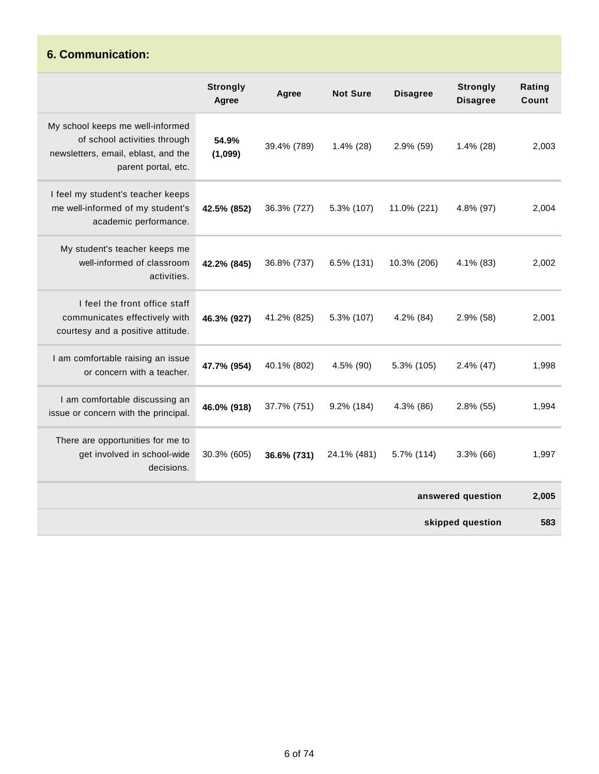### **6. Communication:**

|                                                                                                                                | <b>Strongly</b><br>Agree | Agree       | <b>Not Sure</b> | <b>Disagree</b> | <b>Strongly</b><br><b>Disagree</b> | Rating<br>Count |
|--------------------------------------------------------------------------------------------------------------------------------|--------------------------|-------------|-----------------|-----------------|------------------------------------|-----------------|
| My school keeps me well-informed<br>of school activities through<br>newsletters, email, eblast, and the<br>parent portal, etc. | 54.9%<br>(1,099)         | 39.4% (789) | $1.4\%$ (28)    | 2.9% (59)       | $1.4\%$ (28)                       | 2,003           |
| I feel my student's teacher keeps<br>me well-informed of my student's<br>academic performance.                                 | 42.5% (852)              | 36.3% (727) | 5.3% (107)      | 11.0% (221)     | 4.8% (97)                          | 2,004           |
| My student's teacher keeps me<br>well-informed of classroom<br>activities.                                                     | 42.2% (845)              | 36.8% (737) | $6.5\%$ (131)   | 10.3% (206)     | 4.1% (83)                          | 2,002           |
| I feel the front office staff<br>communicates effectively with<br>courtesy and a positive attitude.                            | 46.3% (927)              | 41.2% (825) | 5.3% (107)      | 4.2% (84)       | 2.9% (58)                          | 2,001           |
| I am comfortable raising an issue<br>or concern with a teacher.                                                                | 47.7% (954)              | 40.1% (802) | 4.5% (90)       | 5.3% (105)      | $2.4\%$ (47)                       | 1,998           |
| I am comfortable discussing an<br>issue or concern with the principal.                                                         | 46.0% (918)              | 37.7% (751) | 9.2% (184)      | 4.3% (86)       | $2.8\%$ (55)                       | 1,994           |
| There are opportunities for me to<br>get involved in school-wide<br>decisions.                                                 | 30.3% (605)              | 36.6% (731) | 24.1% (481)     | 5.7% (114)      | $3.3\%$ (66)                       | 1,997           |
|                                                                                                                                |                          |             |                 |                 | answered question                  | 2,005           |
|                                                                                                                                |                          |             |                 |                 | skipped question                   | 583             |